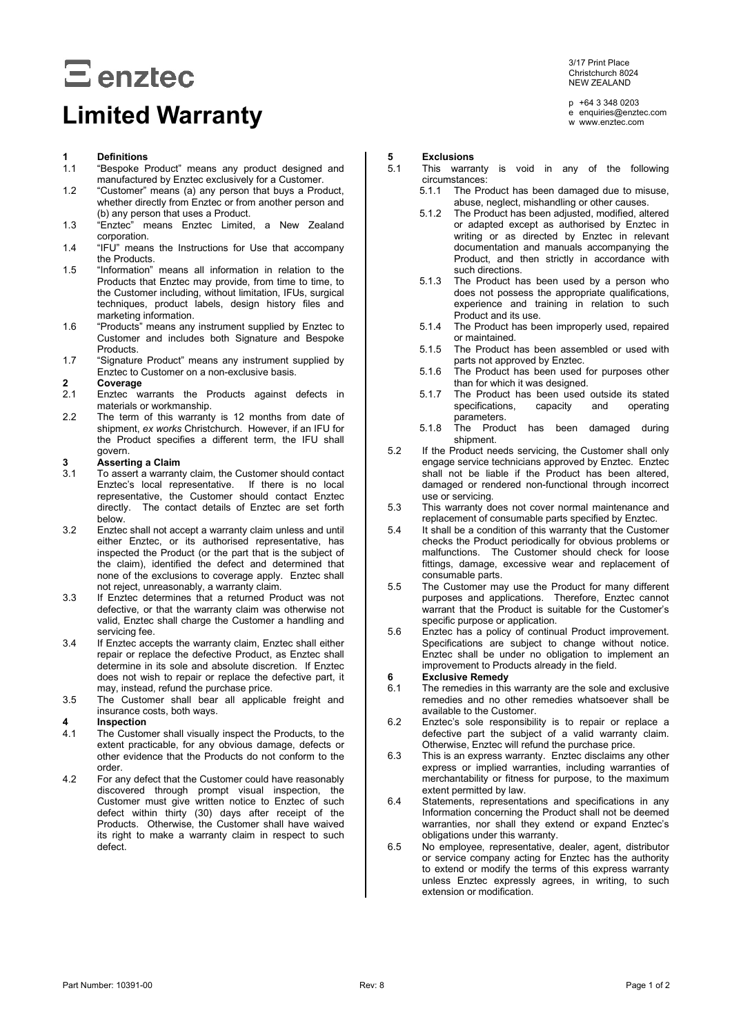# $E$  enztec

## **Limited Warranty**

### **1 Definitions**

- "Bespoke Product" means any product designed and manufactured by Enztec exclusively for a Customer.
- 1.2 "Customer" means (a) any person that buys a Product, whether directly from Enztec or from another person and (b) any person that uses a Product.
- 1.3 "Enztec" means Enztec Limited, a New Zealand corporation.
- 1.4 "IFU" means the Instructions for Use that accompany the Products.
- 1.5 "Information" means all information in relation to the Products that Enztec may provide, from time to time, to the Customer including, without limitation, IFUs, surgical techniques, product labels, design history files and marketing information.
- 1.6 "Products" means any instrument supplied by Enztec to Customer and includes both Signature and Bespoke **Products**
- 1.7 "Signature Product" means any instrument supplied by Enztec to Customer on a non-exclusive basis.

### **2 Coverage**

- Enztec warrants the Products against defects in materials or workmanship.
- 2.2 The term of this warranty is 12 months from date of shipment, *ex works* Christchurch. However, if an IFU for the Product specifies a different term, the IFU shall govern.

### **3 Asserting a Claim**

- To assert a warranty claim, the Customer should contact Enztec's local representative. If there is no local representative, the Customer should contact Enztec directly. The contact details of Enztec are set forth below.
- 3.2 Enztec shall not accept a warranty claim unless and until either Enztec, or its authorised representative, has inspected the Product (or the part that is the subject of the claim), identified the defect and determined that none of the exclusions to coverage apply. Enztec shall not reject, unreasonably, a warranty claim.
- 3.3 If Enztec determines that a returned Product was not defective, or that the warranty claim was otherwise not valid, Enztec shall charge the Customer a handling and servicing fee.
- 3.4 If Enztec accepts the warranty claim, Enztec shall either repair or replace the defective Product, as Enztec shall determine in its sole and absolute discretion. If Enztec does not wish to repair or replace the defective part, it may, instead, refund the purchase price.
- 3.5 The Customer shall bear all applicable freight and insurance costs, both ways.

### **4 Inspection**

- The Customer shall visually inspect the Products, to the extent practicable, for any obvious damage, defects or other evidence that the Products do not conform to the order.
- 4.2 For any defect that the Customer could have reasonably discovered through prompt visual inspection, the Customer must give written notice to Enztec of such defect within thirty (30) days after receipt of the Products. Otherwise, the Customer shall have waived its right to make a warranty claim in respect to such defect.

3/17 Print Place Christchurch 8024 NEW ZEALAND

p +64 3 348 0203 e enquiries@enztec.com w www.enztec.com

- **5 Exclusions**
- This warranty is void in any of the following circumstances:<br>5.1.1 The Pro
	- The Product has been damaged due to misuse, abuse, neglect, mishandling or other causes.
	- 5.1.2 The Product has been adjusted, modified, altered or adapted except as authorised by Enztec in writing or as directed by Enztec in relevant documentation and manuals accompanying the Product, and then strictly in accordance with such directions.
	- 5.1.3 The Product has been used by a person who does not possess the appropriate qualifications, experience and training in relation to such Product and its use.
	- 5.1.4 The Product has been improperly used, repaired or maintained.
	- 5.1.5 The Product has been assembled or used with parts not approved by Enztec.
	- 5.1.6 The Product has been used for purposes other than for which it was designed.
	- 5.1.7 The Product has been used outside its stated<br>specifications, capacity and operating specifications. parameters.
	- 5.1.8 The Product has been damaged during shipment.
- 5.2 If the Product needs servicing, the Customer shall only engage service technicians approved by Enztec. Enztec shall not be liable if the Product has been altered, damaged or rendered non-functional through incorrect use or servicing.
- 5.3 This warranty does not cover normal maintenance and replacement of consumable parts specified by Enztec.
- 5.4 It shall be a condition of this warranty that the Customer checks the Product periodically for obvious problems or malfunctions. The Customer should check for loose fittings, damage, excessive wear and replacement of consumable parts.
- 5.5 The Customer may use the Product for many different purposes and applications. Therefore, Enztec cannot warrant that the Product is suitable for the Customer's specific purpose or application.
- 5.6 Enztec has a policy of continual Product improvement. Specifications are subject to change without notice. Enztec shall be under no obligation to implement an improvement to Products already in the field.

#### **6 Exclusive Remedy**

- 6.1 The remedies in this warranty are the sole and exclusive remedies and no other remedies whatsoever shall be available to the Customer.
- 6.2 Enztec's sole responsibility is to repair or replace a defective part the subject of a valid warranty claim. Otherwise, Enztec will refund the purchase price.
- 6.3 This is an express warranty. Enztec disclaims any other express or implied warranties, including warranties of merchantability or fitness for purpose, to the maximum extent permitted by law.
- 6.4 Statements, representations and specifications in any Information concerning the Product shall not be deemed warranties, nor shall they extend or expand Enztec's obligations under this warranty.
- 6.5 No employee, representative, dealer, agent, distributor or service company acting for Enztec has the authority to extend or modify the terms of this express warranty unless Enztec expressly agrees, in writing, to such extension or modification.